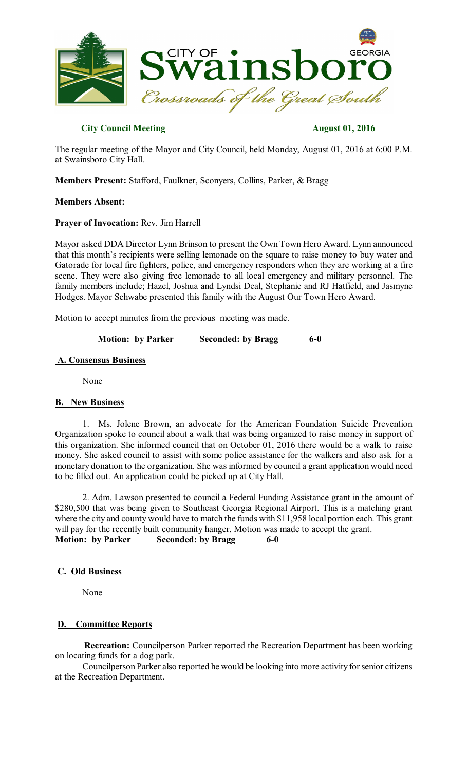

# **City Council Meeting August 01, 2016**

The regular meeting of the Mayor and City Council, held Monday, August 01, 2016 at 6:00 P.M. at Swainsboro City Hall.

**Members Present:** Stafford, Faulkner, Sconyers, Collins, Parker, & Bragg

## **Members Absent:**

## **Prayer of Invocation:** Rev. Jim Harrell

Mayor asked DDA Director Lynn Brinson to present the Own Town Hero Award. Lynn announced that this month's recipients were selling lemonade on the square to raise money to buy water and Gatorade for local fire fighters, police, and emergency responders when they are working at a fire scene. They were also giving free lemonade to all local emergency and military personnel. The family members include; Hazel, Joshua and Lyndsi Deal, Stephanie and RJ Hatfield, and Jasmyne Hodges. Mayor Schwabe presented this family with the August Our Town Hero Award.

Motion to accept minutes from the previous meeting was made.

**Motion: by Parker Seconded: by Bragg 6-0** 

## **A. Consensus Business**

None

#### **B. New Business**

1. Ms. Jolene Brown, an advocate for the American Foundation Suicide Prevention Organization spoke to council about a walk that was being organized to raise money in support of this organization. She informed council that on October 01, 2016 there would be a walk to raise money. She asked council to assist with some police assistance for the walkers and also ask for a monetary donation to the organization. She was informed by council a grant application would need to be filled out. An application could be picked up at City Hall.

2. Adm. Lawson presented to council a Federal Funding Assistance grant in the amount of \$280,500 that was being given to Southeast Georgia Regional Airport. This is a matching grant where the city and county would have to match the funds with \$11,958 local portion each. This grant will pay for the recently built community hanger. Motion was made to accept the grant. **Motion: by Parker Seconded: by Bragg 6-0** 

# **C. Old Business**

None

# **D. Committee Reports**

**Recreation:** Councilperson Parker reported the Recreation Department has been working on locating funds for a dog park.

Councilperson Parker also reported he would be looking into more activity for senior citizens at the Recreation Department.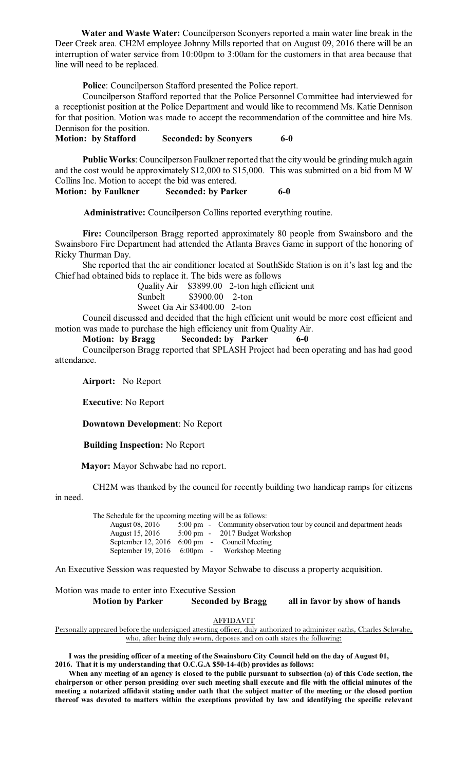**Water and Waste Water:** Councilperson Sconyers reported a main water line break in the Deer Creek area. CH2M employee Johnny Mills reported that on August 09, 2016 there will be an interruption of water service from 10:00pm to 3:00am for the customers in that area because that line will need to be replaced.

**Police**: Councilperson Stafford presented the Police report.

Councilperson Stafford reported that the Police Personnel Committee had interviewed for a receptionist position at the Police Department and would like to recommend Ms. Katie Dennison for that position. Motion was made to accept the recommendation of the committee and hire Ms. Dennison for the position.

**Motion: by Stafford Seconded: by Sconyers 6-0** 

**Public Works**: Councilperson Faulkner reported that the city would be grinding mulch again and the cost would be approximately \$12,000 to \$15,000. This was submitted on a bid from M W Collins Inc. Motion to accept the bid was entered.

**Motion: by Faulkner Seconded: by Parker 6-0**

**Administrative:** Councilperson Collins reported everything routine.

**Fire:** Councilperson Bragg reported approximately 80 people from Swainsboro and the Swainsboro Fire Department had attended the Atlanta Braves Game in support of the honoring of Ricky Thurman Day.

She reported that the air conditioner located at SouthSide Station is on it's last leg and the Chief had obtained bids to replace it. The bids were as follows

> Quality Air \$3899.00 2-ton high efficient unit Sunbelt \$3900.00 2-ton Sweet Ga Air \$3400.00 2-ton

Council discussed and decided that the high efficient unit would be more cost efficient and motion was made to purchase the high efficiency unit from Quality Air.

## **Motion: by Bragg Seconded: by Parker 6-0**

Councilperson Bragg reported that SPLASH Project had been operating and has had good attendance.

**Airport:** No Report

**Executive**: No Report

**Downtown Development**: No Report

**Building Inspection:** No Report

**Mayor:** Mayor Schwabe had no report.

CH2M was thanked by the council for recently building two handicap ramps for citizens

in need.

| The Schedule for the upcoming meeting will be as follows: |                                                                      |
|-----------------------------------------------------------|----------------------------------------------------------------------|
| August 08, 2016                                           | 5:00 pm - Community observation tour by council and department heads |
| August 15, 2016                                           | 5:00 pm - 2017 Budget Workshop                                       |
| September 12, 2016 $6:00 \text{ pm}$ - Council Meeting    |                                                                      |
|                                                           | September 19, 2016 6:00pm - Workshop Meeting                         |
|                                                           |                                                                      |

An Executive Session was requested by Mayor Schwabe to discuss a property acquisition.

Motion was made to enter into Executive Session **Motion by Parker Seconded by Bragg all in favor by show of hands**

**AFFIDAVIT** 

Personally appeared before the undersigned attesting officer, duly authorized to administer oaths, Charles Schwabe, who, after being duly sworn, deposes and on oath states the following:

**I was the presiding officer of a meeting of the Swainsboro City Council held on the day of August 01, 2016. That it is my understanding that O.C.G.A \$50-14-4(b) provides as follows:**

**When any meeting of an agency is closed to the public pursuant to subsection (a) of this Code section, the chairperson or other person presiding over such meeting shall execute and file with the official minutes of the meeting a notarized affidavit stating under oath that the subject matter of the meeting or the closed portion thereof was devoted to matters within the exceptions provided by law and identifying the specific relevant**